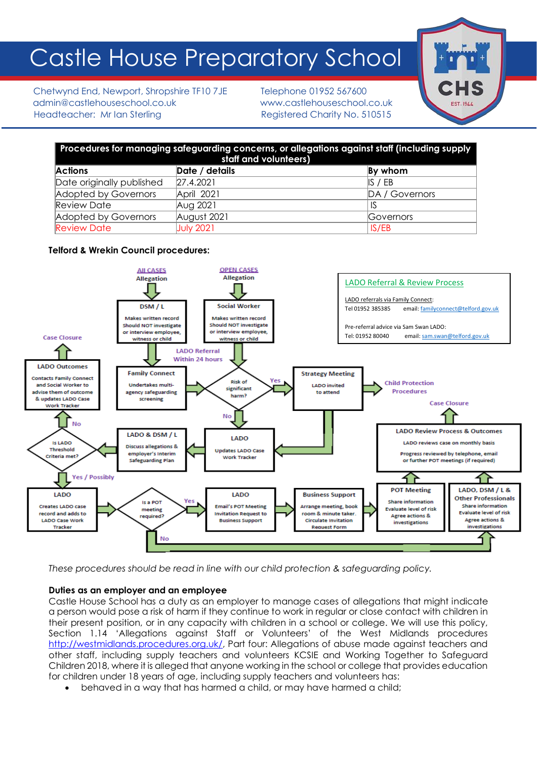# Castle House Preparatory School

Chetwynd End, Newport, Shropshire TF10 7JE Telephone 01952 567600 admin@castlehouseschool.co.uk www.castlehouseschool.co.uk Headteacher: Mr Ian Sterling Registered Charity No. 510515



| Procedures for managing safeguarding concerns, or allegations against staff (including supply<br>staff and volunteers) |                  |                    |
|------------------------------------------------------------------------------------------------------------------------|------------------|--------------------|
| <b>Actions</b>                                                                                                         | Date / details   | By whom            |
| Date originally published                                                                                              | 27.4.2021        | $\parallel$ S / EB |
| Adopted by Governors                                                                                                   | April 2021       | DA / Governors     |
| <b>Review Date</b>                                                                                                     | Aug 2021         | -IS                |
| Adopted by Governors                                                                                                   | August 2021      | <b>Governors</b>   |
| <b>Review Date</b>                                                                                                     | <b>July 2021</b> | IS/EB              |

# **Telford & Wrekin Council procedures:**



*These procedures should be read in line with our child protection & safeguarding policy.* 

## **Duties as an employer and an employee**

Castle House School has a duty as an employer to manage cases of allegations that might indicate a person would pose a risk of harm if they continue to work in regular or close contact with children in their present position, or in any capacity with children in a school or college. We will use this policy, Section 1.14 'Allegations against Staff or Volunteers' of the West Midlands procedures [http://westmidlands.procedures.org.uk/,](http://westmidlands.procedures.org.uk/) Part four: Allegations of abuse made against teachers and other staff, including supply teachers and volunteers KCSIE and Working Together to Safeguard Children 2018, where it is alleged that anyone working in the school or college that provides education for children under 18 years of age, including supply teachers and volunteers has:

• behaved in a way that has harmed a child, or may have harmed a child;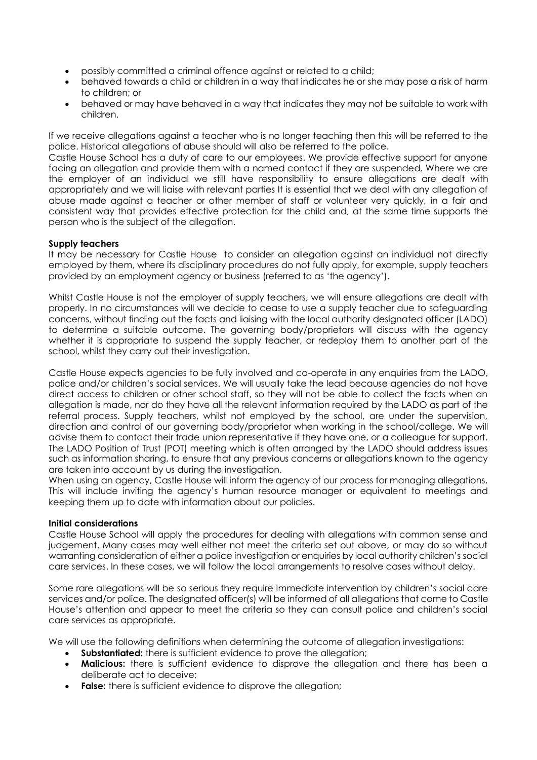- possibly committed a criminal offence against or related to a child;
- behaved towards a child or children in a way that indicates he or she may pose a risk of harm to children; or
- behaved or may have behaved in a way that indicates they may not be suitable to work with children.

If we receive allegations against a teacher who is no longer teaching then this will be referred to the police. Historical allegations of abuse should will also be referred to the police.

Castle House School has a duty of care to our employees. We provide effective support for anyone facing an allegation and provide them with a named contact if they are suspended. Where we are the employer of an individual we still have responsibility to ensure allegations are dealt with appropriately and we will liaise with relevant parties It is essential that we deal with any allegation of abuse made against a teacher or other member of staff or volunteer very quickly, in a fair and consistent way that provides effective protection for the child and, at the same time supports the person who is the subject of the allegation.

# **Supply teachers**

It may be necessary for Castle House to consider an allegation against an individual not directly employed by them, where its disciplinary procedures do not fully apply, for example, supply teachers provided by an employment agency or business (referred to as 'the agency').

Whilst Castle House is not the employer of supply teachers, we will ensure allegations are dealt with properly. In no circumstances will we decide to cease to use a supply teacher due to safeguarding concerns, without finding out the facts and liaising with the local authority designated officer (LADO) to determine a suitable outcome. The governing body/proprietors will discuss with the agency whether it is appropriate to suspend the supply teacher, or redeploy them to another part of the school, whilst they carry out their investigation.

Castle House expects agencies to be fully involved and co-operate in any enquiries from the LADO, police and/or children's social services. We will usually take the lead because agencies do not have direct access to children or other school staff, so they will not be able to collect the facts when an allegation is made, nor do they have all the relevant information required by the LADO as part of the referral process. Supply teachers, whilst not employed by the school, are under the supervision, direction and control of our governing body/proprietor when working in the school/college. We will advise them to contact their trade union representative if they have one, or a colleague for support. The LADO Position of Trust (POT) meeting which is often arranged by the LADO should address issues such as information sharing, to ensure that any previous concerns or allegations known to the agency are taken into account by us during the investigation.

When using an agency, Castle House will inform the agency of our process for managing allegations. This will include inviting the agency's human resource manager or equivalent to meetings and keeping them up to date with information about our policies.

## **Initial considerations**

Castle House School will apply the procedures for dealing with allegations with common sense and judgement. Many cases may well either not meet the criteria set out above, or may do so without warranting consideration of either a police investigation or enquiries by local authority children's social care services. In these cases, we will follow the local arrangements to resolve cases without delay.

Some rare allegations will be so serious they require immediate intervention by children's social care services and/or police. The designated officer(s) will be informed of all allegations that come to Castle House's attention and appear to meet the criteria so they can consult police and children's social care services as appropriate.

We will use the following definitions when determining the outcome of allegation investigations:

- **Substantiated:** there is sufficient evidence to prove the allegation;
- **Malicious:** there is sufficient evidence to disprove the allegation and there has been a deliberate act to deceive;
- **False:** there is sufficient evidence to disprove the allegation;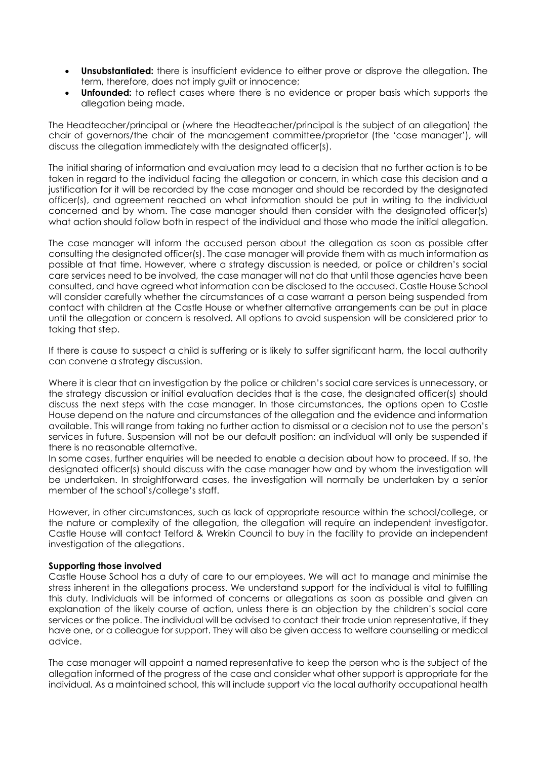- **Unsubstantiated:** there is insufficient evidence to either prove or disprove the allegation. The term, therefore, does not imply guilt or innocence;
- **Unfounded:** to reflect cases where there is no evidence or proper basis which supports the allegation being made.

The Headteacher/principal or (where the Headteacher/principal is the subject of an allegation) the chair of governors/the chair of the management committee/proprietor (the 'case manager'), will discuss the allegation immediately with the designated officer(s).

The initial sharing of information and evaluation may lead to a decision that no further action is to be taken in regard to the individual facing the allegation or concern, in which case this decision and a justification for it will be recorded by the case manager and should be recorded by the designated officer(s), and agreement reached on what information should be put in writing to the individual concerned and by whom. The case manager should then consider with the designated officer(s) what action should follow both in respect of the individual and those who made the initial allegation.

The case manager will inform the accused person about the allegation as soon as possible after consulting the designated officer(s). The case manager will provide them with as much information as possible at that time. However, where a strategy discussion is needed, or police or children's social care services need to be involved, the case manager will not do that until those agencies have been consulted, and have agreed what information can be disclosed to the accused. Castle House School will consider carefully whether the circumstances of a case warrant a person being suspended from contact with children at the Castle House or whether alternative arrangements can be put in place until the allegation or concern is resolved. All options to avoid suspension will be considered prior to taking that step.

If there is cause to suspect a child is suffering or is likely to suffer significant harm, the local authority can convene a strategy discussion.

Where it is clear that an investigation by the police or children's social care services is unnecessary, or the strategy discussion or initial evaluation decides that is the case, the designated officer(s) should discuss the next steps with the case manager. In those circumstances, the options open to Castle House depend on the nature and circumstances of the allegation and the evidence and information available. This will range from taking no further action to dismissal or a decision not to use the person's services in future. Suspension will not be our default position: an individual will only be suspended if there is no reasonable alternative.

In some cases, further enquiries will be needed to enable a decision about how to proceed. If so, the designated officer(s) should discuss with the case manager how and by whom the investigation will be undertaken. In straightforward cases, the investigation will normally be undertaken by a senior member of the school's/college's staff.

However, in other circumstances, such as lack of appropriate resource within the school/college, or the nature or complexity of the allegation, the allegation will require an independent investigator. Castle House will contact Telford & Wrekin Council to buy in the facility to provide an independent investigation of the allegations.

## **Supporting those involved**

Castle House School has a duty of care to our employees. We will act to manage and minimise the stress inherent in the allegations process. We understand support for the individual is vital to fulfilling this duty. Individuals will be informed of concerns or allegations as soon as possible and given an explanation of the likely course of action, unless there is an objection by the children's social care services or the police. The individual will be advised to contact their trade union representative, if they have one, or a colleague for support. They will also be given access to welfare counselling or medical advice.

The case manager will appoint a named representative to keep the person who is the subject of the allegation informed of the progress of the case and consider what other support is appropriate for the individual. As a maintained school, this will include support via the local authority occupational health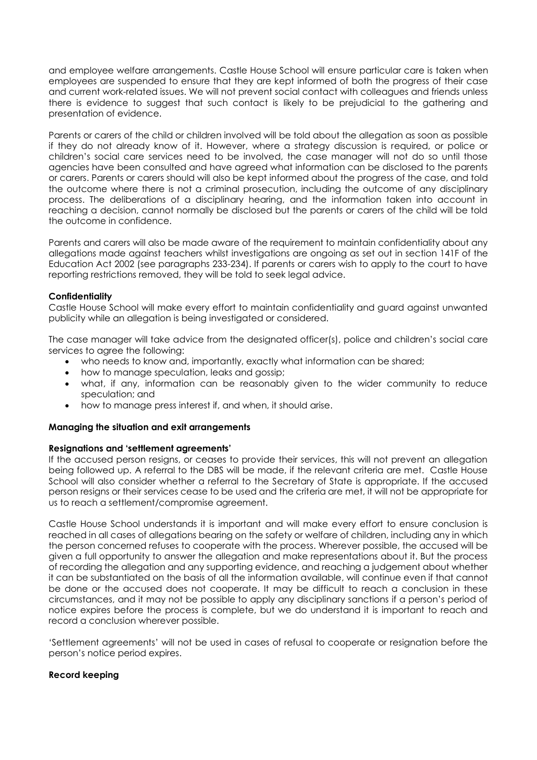and employee welfare arrangements. Castle House School will ensure particular care is taken when employees are suspended to ensure that they are kept informed of both the progress of their case and current work-related issues. We will not prevent social contact with colleagues and friends unless there is evidence to suggest that such contact is likely to be prejudicial to the gathering and presentation of evidence.

Parents or carers of the child or children involved will be told about the allegation as soon as possible if they do not already know of it. However, where a strategy discussion is required, or police or children's social care services need to be involved, the case manager will not do so until those agencies have been consulted and have agreed what information can be disclosed to the parents or carers. Parents or carers should will also be kept informed about the progress of the case, and told the outcome where there is not a criminal prosecution, including the outcome of any disciplinary process. The deliberations of a disciplinary hearing, and the information taken into account in reaching a decision, cannot normally be disclosed but the parents or carers of the child will be told the outcome in confidence.

Parents and carers will also be made aware of the requirement to maintain confidentiality about any allegations made against teachers whilst investigations are ongoing as set out in section 141F of the Education Act 2002 (see paragraphs 233-234). If parents or carers wish to apply to the court to have reporting restrictions removed, they will be told to seek legal advice.

## **Confidentiality**

Castle House School will make every effort to maintain confidentiality and guard against unwanted publicity while an allegation is being investigated or considered.

The case manager will take advice from the designated officer(s), police and children's social care services to agree the following:

- who needs to know and, importantly, exactly what information can be shared;
- how to manage speculation, leaks and gossip;
- what, if any, information can be reasonably given to the wider community to reduce speculation; and
- how to manage press interest if, and when, it should arise.

## **Managing the situation and exit arrangements**

## **Resignations and 'settlement agreements'**

If the accused person resigns, or ceases to provide their services, this will not prevent an allegation being followed up. A referral to the DBS will be made, if the relevant criteria are met. Castle House School will also consider whether a referral to the Secretary of State is appropriate. If the accused person resigns or their services cease to be used and the criteria are met, it will not be appropriate for us to reach a settlement/compromise agreement.

Castle House School understands it is important and will make every effort to ensure conclusion is reached in all cases of allegations bearing on the safety or welfare of children, including any in which the person concerned refuses to cooperate with the process. Wherever possible, the accused will be given a full opportunity to answer the allegation and make representations about it. But the process of recording the allegation and any supporting evidence, and reaching a judgement about whether it can be substantiated on the basis of all the information available, will continue even if that cannot be done or the accused does not cooperate. It may be difficult to reach a conclusion in these circumstances, and it may not be possible to apply any disciplinary sanctions if a person's period of notice expires before the process is complete, but we do understand it is important to reach and record a conclusion wherever possible.

'Settlement agreements' will not be used in cases of refusal to cooperate or resignation before the person's notice period expires.

## **Record keeping**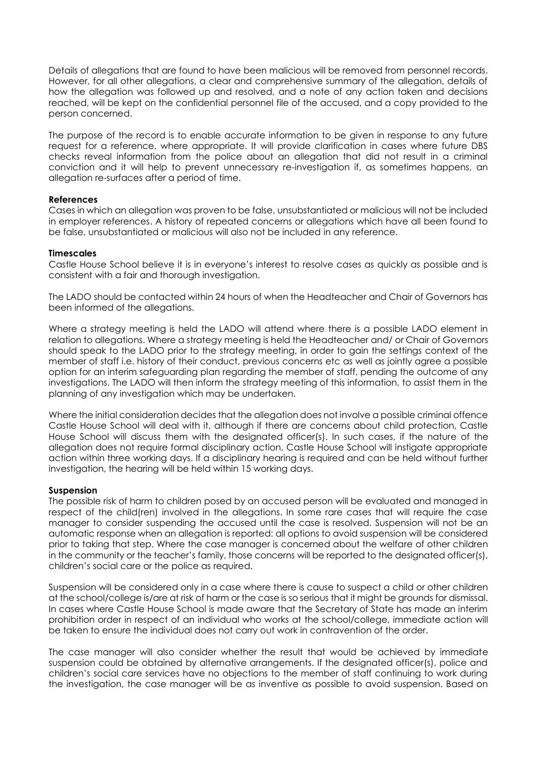Details of allegations that are found to have been malicious will be removed from personnel records. However, for all other allegations, a clear and comprehensive summary of the allegation, details of how the allegation was followed up and resolved, and a note of any action taken and decisions reached, will be kept on the confidential personnel file of the accused, and a copy provided to the person concerned.

The purpose of the record is to enable accurate information to be given in response to any future request for a reference, where appropriate. It will provide clarification in cases where future DBS checks reveal information from the police about an allegation that did not result in a criminal conviction and it will help to prevent unnecessary re-investigation if, as sometimes happens, an allegation re-surfaces after a period of time.

## **References**

Cases in which an allegation was proven to be false, unsubstantiated or malicious will not be included in employer references. A history of repeated concerns or allegations which have all been found to be false, unsubstantiated or malicious will also not be included in any reference.

#### **Timescales**

Castle House School believe it is in everyone's interest to resolve cases as quickly as possible and is consistent with a fair and thorough investigation.

The LADO should be contacted within 24 hours of when the Headteacher and Chair of Governors has been informed of the allegations.

Where a strategy meeting is held the LADO will attend where there is a possible LADO element in relation to allegations. Where a strategy meeting is held the Headteacher and/ or Chair of Governors should speak to the LADO prior to the strategy meeting, in order to gain the settings context of the member of staff i.e. history of their conduct, previous concerns etc as well as jointly agree a possible option for an interim safeguarding plan regarding the member of staff, pending the outcome of any investigations. The LADO will then inform the strategy meeting of this information, to assist them in the planning of any investigation which may be undertaken.

Where the initial consideration decides that the allegation does not involve a possible criminal offence Castle House School will deal with it, although if there are concerns about child protection, Castle House School will discuss them with the designated officer(s). In such cases, if the nature of the allegation does not require formal disciplinary action, Castle House School will instigate appropriate action within three working days. If a disciplinary hearing is required and can be held without further investigation, the hearing will be held within 15 working days.

#### **Suspension**

The possible risk of harm to children posed by an accused person will be evaluated and managed in respect of the child(ren) involved in the allegations. In some rare cases that will require the case manager to consider suspending the accused until the case is resolved. Suspension will not be an automatic response when an allegation is reported: all options to avoid suspension will be considered prior to taking that step. Where the case manager is concerned about the welfare of other children in the community or the teacher's family, those concerns will be reported to the designated officer(s), children's social care or the police as required.

Suspension will be considered only in a case where there is cause to suspect a child or other children at the school/college is/are at risk of harm or the case is so serious that it might be grounds for dismissal. In cases where Castle House School is made aware that the Secretary of State has made an interim prohibition order in respect of an individual who works at the school/college, immediate action will be taken to ensure the individual does not carry out work in contravention of the order.

The case manager will also consider whether the result that would be achieved by immediate suspension could be obtained by alternative arrangements. If the designated officer(s), police and children's social care services have no objections to the member of staff continuing to work during the investigation, the case manager will be as inventive as possible to avoid suspension. Based on